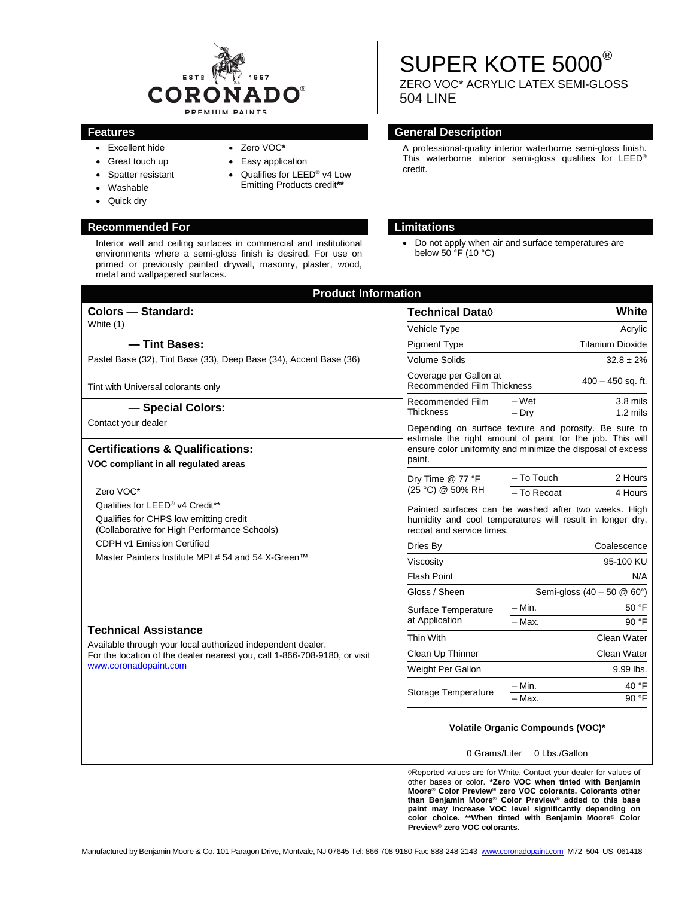

• Zero VOC**\*** • Easy application

• Qualifies for LEED® v4 Low Emitting Products credit**\*\*** 

- Excellent hide
- Great touch up
- Spatter resistant
- Washable
- Quick dry

## **Recommended For Limitations**

Interior wall and ceiling surfaces in commercial and institutional environments where a semi-gloss finish is desired. For use on primed or previously painted drywall, masonry, plaster, wood, metal and wallpapered surfaces.

# SUPER KOTE 5000<sup>®</sup> ZERO VOC\* ACRYLIC LATEX SEMI-GLOSS 504 LINE

### **Features General Description**

A professional-quality interior waterborne semi-gloss finish. This waterborne interior semi-gloss qualifies for LEED® credit.

• Do not apply when air and surface temperatures are below 50 °F (10 °C)

| <b>Product Information</b>                                                                                                                                                                                                       |                                                                                                                                                |                                                       |
|----------------------------------------------------------------------------------------------------------------------------------------------------------------------------------------------------------------------------------|------------------------------------------------------------------------------------------------------------------------------------------------|-------------------------------------------------------|
| <b>Colors - Standard:</b>                                                                                                                                                                                                        | <b>Technical Data</b> ◊                                                                                                                        | White                                                 |
| White (1)                                                                                                                                                                                                                        | Vehicle Type                                                                                                                                   | Acrylic                                               |
| -Tint Bases:                                                                                                                                                                                                                     | <b>Pigment Type</b>                                                                                                                            | <b>Titanium Dioxide</b>                               |
| Pastel Base (32), Tint Base (33), Deep Base (34), Accent Base (36)                                                                                                                                                               | <b>Volume Solids</b>                                                                                                                           | $32.8 \pm 2\%$                                        |
| Tint with Universal colorants only                                                                                                                                                                                               | Coverage per Gallon at<br><b>Recommended Film Thickness</b>                                                                                    | $400 - 450$ sq. ft.                                   |
| - Special Colors:                                                                                                                                                                                                                | Recommended Film<br><b>Thickness</b>                                                                                                           | 3.8 mils<br>– Wet<br>$-$ Drv<br>$1.2 \text{ miles}$   |
| Contact your dealer                                                                                                                                                                                                              |                                                                                                                                                | Depending on surface texture and porosity. Be sure to |
| <b>Certifications &amp; Qualifications:</b><br>VOC compliant in all regulated areas                                                                                                                                              | estimate the right amount of paint for the job. This will<br>ensure color uniformity and minimize the disposal of excess<br>paint.             |                                                       |
|                                                                                                                                                                                                                                  | Dry Time @ 77 °F<br>(25 °C) @ 50% RH                                                                                                           | - To Touch<br>2 Hours                                 |
| Zero VOC*                                                                                                                                                                                                                        |                                                                                                                                                | - To Recoat<br>4 Hours                                |
| Qualifies for LEED <sup>®</sup> v4 Credit**<br>Qualifies for CHPS low emitting credit<br>(Collaborative for High Performance Schools)<br><b>CDPH v1 Emission Certified</b><br>Master Painters Institute MPI # 54 and 54 X-Green™ | Painted surfaces can be washed after two weeks. High<br>humidity and cool temperatures will result in longer dry,<br>recoat and service times. |                                                       |
|                                                                                                                                                                                                                                  | Dries By                                                                                                                                       | Coalescence                                           |
|                                                                                                                                                                                                                                  | Viscosity                                                                                                                                      | 95-100 KU                                             |
|                                                                                                                                                                                                                                  | <b>Flash Point</b>                                                                                                                             | N/A                                                   |
|                                                                                                                                                                                                                                  | Gloss / Sheen                                                                                                                                  | Semi-gloss $(40 - 50 \& 60^{\circ})$                  |
|                                                                                                                                                                                                                                  | Surface Temperature<br>at Application                                                                                                          | 50 °F<br>– Min.                                       |
| <b>Technical Assistance</b>                                                                                                                                                                                                      |                                                                                                                                                | 90 °F<br>- Max.                                       |
| Available through your local authorized independent dealer.<br>For the location of the dealer nearest you, call 1-866-708-9180, or visit<br>www.coronadopaint.com                                                                | Thin With                                                                                                                                      | Clean Water                                           |
|                                                                                                                                                                                                                                  | Clean Up Thinner                                                                                                                               | Clean Water                                           |
|                                                                                                                                                                                                                                  | Weight Per Gallon                                                                                                                              | 9.99 lbs.                                             |
|                                                                                                                                                                                                                                  | Storage Temperature                                                                                                                            | 40 °F<br>– Min.                                       |
|                                                                                                                                                                                                                                  |                                                                                                                                                | $-$ Max.<br>90 °F                                     |
|                                                                                                                                                                                                                                  | Volatile Organic Compounds (VOC)*                                                                                                              |                                                       |
|                                                                                                                                                                                                                                  | 0 Grams/Liter<br>0 Lbs./Gallon                                                                                                                 |                                                       |
|                                                                                                                                                                                                                                  | ◊ Reported values are for White. Contact your dealer for values of                                                                             |                                                       |

other bases or color. **\*Zero VOC when tinted with Benjamin Moore® Color Preview® zero VOC colorants. Colorants other than Benjamin Moore® Color Preview® added to this base paint may increase VOC level significantly depending on color choice. \*\*When tinted with Benjamin Moore® Color Preview® zero VOC colorants.**